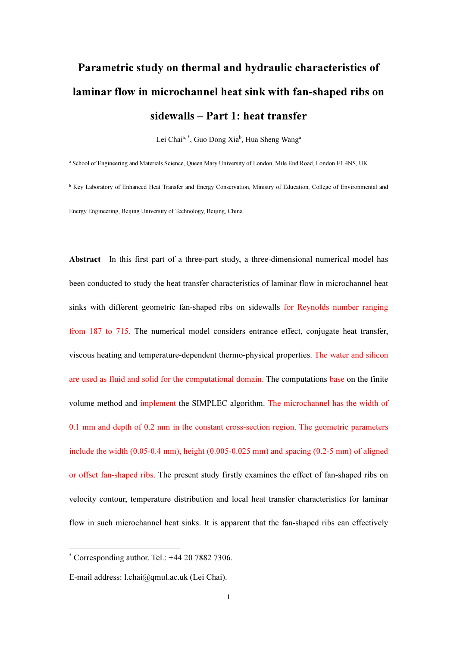# Parametric study on thermal and hydraulic characteristics of laminar flow in microchannel heat sink with fan-shaped ribs on sidewalls – Part 1: heat transfer

Lei Chai<sup>a, \*</sup>, Guo Dong Xia<sup>b</sup>, Hua Sheng Wang<sup>a</sup>

a School of Engineering and Materials Science, Queen Mary University of London, Mile End Road, London E1 4NS, UK

<sup>b</sup> Key Laboratory of Enhanced Heat Transfer and Energy Conservation, Ministry of Education, College of Environmental and Energy Engineering, Beijing University of Technology, Beijing, China

Abstract In this first part of a three-part study, a three-dimensional numerical model has been conducted to study the heat transfer characteristics of laminar flow in microchannel heat sinks with different geometric fan-shaped ribs on sidewalls for Reynolds number ranging from 187 to 715. The numerical model considers entrance effect, conjugate heat transfer, viscous heating and temperature-dependent thermo-physical properties. The water and silicon are used as fluid and solid for the computational domain. The computations base on the finite volume method and implement the SIMPLEC algorithm. The microchannel has the width of 0.1 mm and depth of 0.2 mm in the constant cross-section region. The geometric parameters include the width (0.05-0.4 mm), height (0.005-0.025 mm) and spacing (0.2-5 mm) of aligned or offset fan-shaped ribs. The present study firstly examines the effect of fan-shaped ribs on velocity contour, temperature distribution and local heat transfer characteristics for laminar flow in such microchannel heat sinks. It is apparent that the fan-shaped ribs can effectively

<sup>\*</sup> Corresponding author. Tel.: +44 20 7882 7306.

E-mail address: l.chai@qmul.ac.uk (Lei Chai).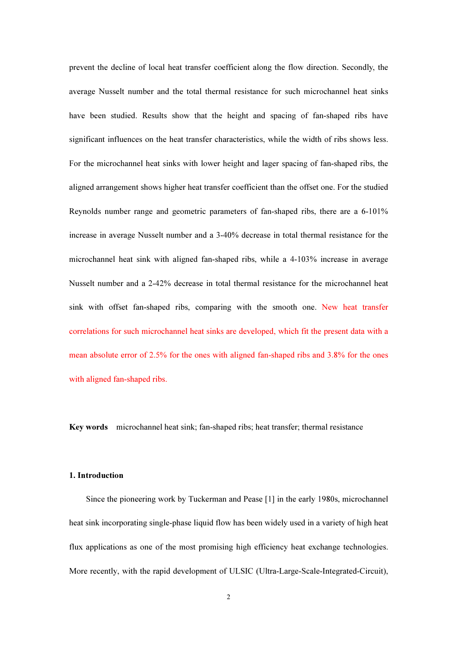prevent the decline of local heat transfer coefficient along the flow direction. Secondly, the average Nusselt number and the total thermal resistance for such microchannel heat sinks have been studied. Results show that the height and spacing of fan-shaped ribs have significant influences on the heat transfer characteristics, while the width of ribs shows less. For the microchannel heat sinks with lower height and lager spacing of fan-shaped ribs, the aligned arrangement shows higher heat transfer coefficient than the offset one. For the studied Reynolds number range and geometric parameters of fan-shaped ribs, there are a 6-101% increase in average Nusselt number and a 3-40% decrease in total thermal resistance for the microchannel heat sink with aligned fan-shaped ribs, while a 4-103% increase in average Nusselt number and a 2-42% decrease in total thermal resistance for the microchannel heat sink with offset fan-shaped ribs, comparing with the smooth one. New heat transfer correlations for such microchannel heat sinks are developed, which fit the present data with a mean absolute error of 2.5% for the ones with aligned fan-shaped ribs and 3.8% for the ones with aligned fan-shaped ribs.

Key words microchannel heat sink; fan-shaped ribs; heat transfer; thermal resistance

## 1. Introduction

Since the pioneering work by Tuckerman and Pease [1] in the early 1980s, microchannel heat sink incorporating single-phase liquid flow has been widely used in a variety of high heat flux applications as one of the most promising high efficiency heat exchange technologies. More recently, with the rapid development of ULSIC (Ultra-Large-Scale-Integrated-Circuit),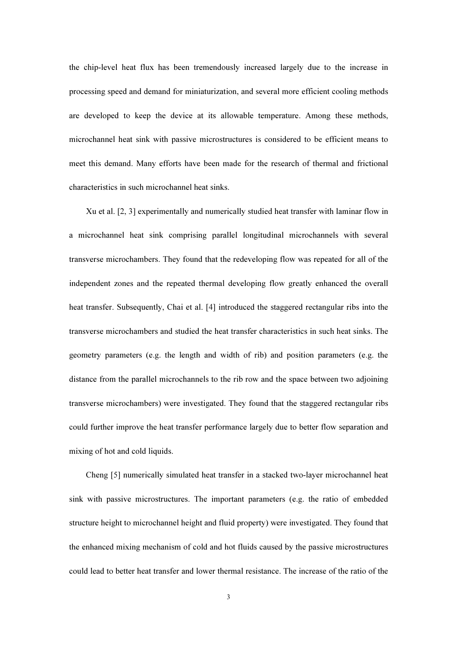the chip-level heat flux has been tremendously increased largely due to the increase in processing speed and demand for miniaturization, and several more efficient cooling methods are developed to keep the device at its allowable temperature. Among these methods, microchannel heat sink with passive microstructures is considered to be efficient means to meet this demand. Many efforts have been made for the research of thermal and frictional characteristics in such microchannel heat sinks.

Xu et al. [2, 3] experimentally and numerically studied heat transfer with laminar flow in a microchannel heat sink comprising parallel longitudinal microchannels with several transverse microchambers. They found that the redeveloping flow was repeated for all of the independent zones and the repeated thermal developing flow greatly enhanced the overall heat transfer. Subsequently, Chai et al. [4] introduced the staggered rectangular ribs into the transverse microchambers and studied the heat transfer characteristics in such heat sinks. The geometry parameters (e.g. the length and width of rib) and position parameters (e.g. the distance from the parallel microchannels to the rib row and the space between two adjoining transverse microchambers) were investigated. They found that the staggered rectangular ribs could further improve the heat transfer performance largely due to better flow separation and mixing of hot and cold liquids.

Cheng [5] numerically simulated heat transfer in a stacked two-layer microchannel heat sink with passive microstructures. The important parameters (e.g. the ratio of embedded structure height to microchannel height and fluid property) were investigated. They found that the enhanced mixing mechanism of cold and hot fluids caused by the passive microstructures could lead to better heat transfer and lower thermal resistance. The increase of the ratio of the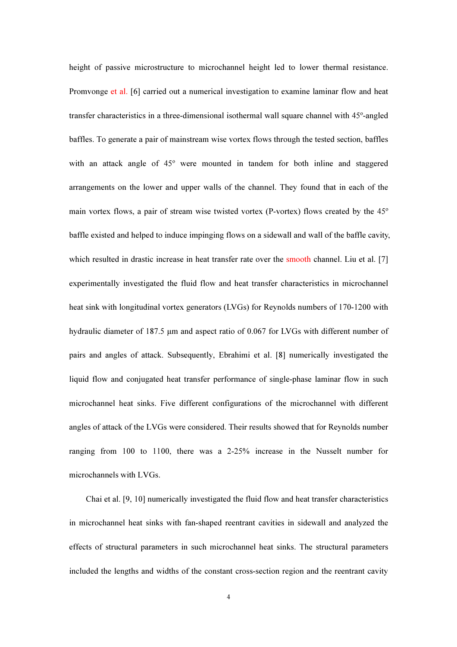height of passive microstructure to microchannel height led to lower thermal resistance. Promvonge et al. [6] carried out a numerical investigation to examine laminar flow and heat transfer characteristics in a three-dimensional isothermal wall square channel with 45º-angled baffles. To generate a pair of mainstream wise vortex flows through the tested section, baffles with an attack angle of  $45^{\circ}$  were mounted in tandem for both inline and staggered arrangements on the lower and upper walls of the channel. They found that in each of the main vortex flows, a pair of stream wise twisted vortex (P-vortex) flows created by the 45º baffle existed and helped to induce impinging flows on a sidewall and wall of the baffle cavity, which resulted in drastic increase in heat transfer rate over the smooth channel. Liu et al. [7] experimentally investigated the fluid flow and heat transfer characteristics in microchannel heat sink with longitudinal vortex generators (LVGs) for Reynolds numbers of 170-1200 with hydraulic diameter of 187.5 µm and aspect ratio of 0.067 for LVGs with different number of pairs and angles of attack. Subsequently, Ebrahimi et al. [8] numerically investigated the liquid flow and conjugated heat transfer performance of single-phase laminar flow in such microchannel heat sinks. Five different configurations of the microchannel with different angles of attack of the LVGs were considered. Their results showed that for Reynolds number ranging from 100 to 1100, there was a 2-25% increase in the Nusselt number for microchannels with LVGs.

Chai et al. [9, 10] numerically investigated the fluid flow and heat transfer characteristics in microchannel heat sinks with fan-shaped reentrant cavities in sidewall and analyzed the effects of structural parameters in such microchannel heat sinks. The structural parameters included the lengths and widths of the constant cross-section region and the reentrant cavity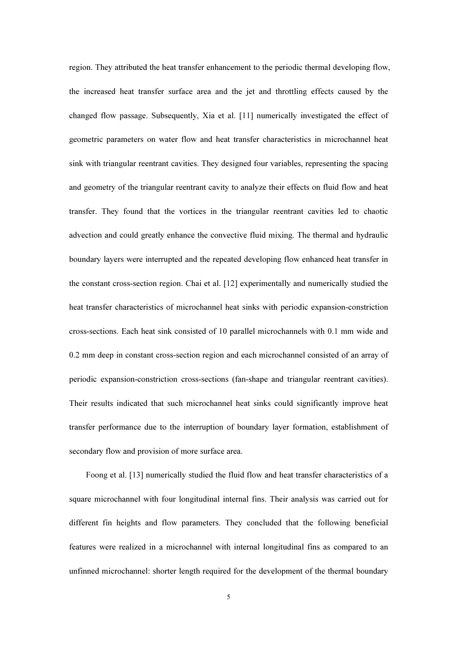region. They attributed the heat transfer enhancement to the periodic thermal developing flow, the increased heat transfer surface area and the jet and throttling effects caused by the changed flow passage. Subsequently, Xia et al. [11] numerically investigated the effect of geometric parameters on water flow and heat transfer characteristics in microchannel heat sink with triangular reentrant cavities. They designed four variables, representing the spacing and geometry of the triangular reentrant cavity to analyze their effects on fluid flow and heat transfer. They found that the vortices in the triangular reentrant cavities led to chaotic advection and could greatly enhance the convective fluid mixing. The thermal and hydraulic boundary layers were interrupted and the repeated developing flow enhanced heat transfer in the constant cross-section region. Chai et al. [12] experimentally and numerically studied the heat transfer characteristics of microchannel heat sinks with periodic expansion-constriction cross-sections. Each heat sink consisted of 10 parallel microchannels with 0.1 mm wide and 0.2 mm deep in constant cross-section region and each microchannel consisted of an array of periodic expansion-constriction cross-sections (fan-shape and triangular reentrant cavities). Their results indicated that such microchannel heat sinks could significantly improve heat transfer performance due to the interruption of boundary layer formation, establishment of secondary flow and provision of more surface area.

Foong et al. [13] numerically studied the fluid flow and heat transfer characteristics of a square microchannel with four longitudinal internal fins. Their analysis was carried out for different fin heights and flow parameters. They concluded that the following beneficial features were realized in a microchannel with internal longitudinal fins as compared to an unfinned microchannel: shorter length required for the development of the thermal boundary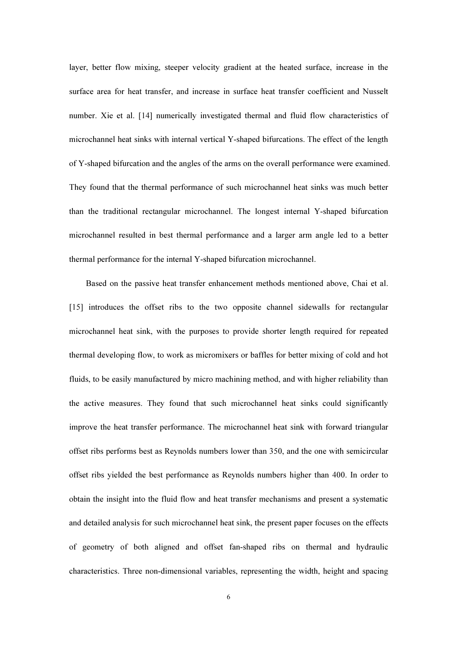layer, better flow mixing, steeper velocity gradient at the heated surface, increase in the surface area for heat transfer, and increase in surface heat transfer coefficient and Nusselt number. Xie et al. [14] numerically investigated thermal and fluid flow characteristics of microchannel heat sinks with internal vertical Y-shaped bifurcations. The effect of the length of Y-shaped bifurcation and the angles of the arms on the overall performance were examined. They found that the thermal performance of such microchannel heat sinks was much better than the traditional rectangular microchannel. The longest internal Y-shaped bifurcation microchannel resulted in best thermal performance and a larger arm angle led to a better thermal performance for the internal Y-shaped bifurcation microchannel.

Based on the passive heat transfer enhancement methods mentioned above, Chai et al. [15] introduces the offset ribs to the two opposite channel sidewalls for rectangular microchannel heat sink, with the purposes to provide shorter length required for repeated thermal developing flow, to work as micromixers or baffles for better mixing of cold and hot fluids, to be easily manufactured by micro machining method, and with higher reliability than the active measures. They found that such microchannel heat sinks could significantly improve the heat transfer performance. The microchannel heat sink with forward triangular offset ribs performs best as Reynolds numbers lower than 350, and the one with semicircular offset ribs yielded the best performance as Reynolds numbers higher than 400. In order to obtain the insight into the fluid flow and heat transfer mechanisms and present a systematic and detailed analysis for such microchannel heat sink, the present paper focuses on the effects of geometry of both aligned and offset fan-shaped ribs on thermal and hydraulic characteristics. Three non-dimensional variables, representing the width, height and spacing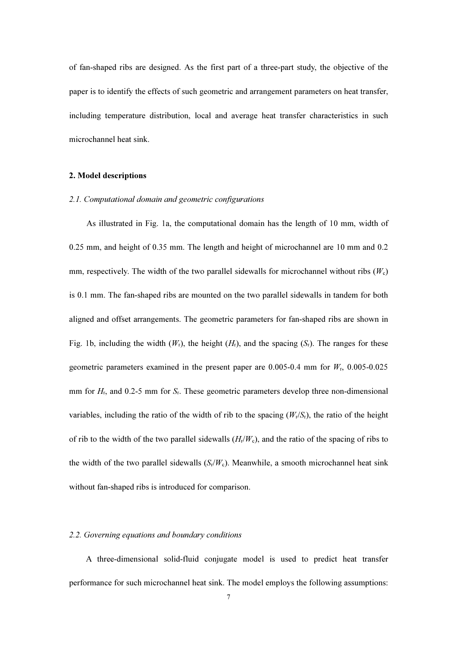of fan-shaped ribs are designed. As the first part of a three-part study, the objective of the paper is to identify the effects of such geometric and arrangement parameters on heat transfer, including temperature distribution, local and average heat transfer characteristics in such microchannel heat sink.

# 2. Model descriptions

# 2.1. Computational domain and geometric configurations

As illustrated in Fig. 1a, the computational domain has the length of 10 mm, width of 0.25 mm, and height of 0.35 mm. The length and height of microchannel are 10 mm and 0.2 mm, respectively. The width of the two parallel sidewalls for microchannel without ribs  $(W_c)$ is 0.1 mm. The fan-shaped ribs are mounted on the two parallel sidewalls in tandem for both aligned and offset arrangements. The geometric parameters for fan-shaped ribs are shown in Fig. 1b, including the width  $(W_r)$ , the height  $(H_r)$ , and the spacing  $(S_r)$ . The ranges for these geometric parameters examined in the present paper are 0.005-0.4 mm for  $W_r$ , 0.005-0.025 mm for  $H<sub>r</sub>$ , and 0.2-5 mm for  $S<sub>r</sub>$ . These geometric parameters develop three non-dimensional variables, including the ratio of the width of rib to the spacing  $(W_r/S_r)$ , the ratio of the height of rib to the width of the two parallel sidewalls  $(H<sub>r</sub>/W<sub>c</sub>)$ , and the ratio of the spacing of ribs to the width of the two parallel sidewalls  $(S_r/W_c)$ . Meanwhile, a smooth microchannel heat sink without fan-shaped ribs is introduced for comparison.

#### 2.2. Governing equations and boundary conditions

A three-dimensional solid-fluid conjugate model is used to predict heat transfer performance for such microchannel heat sink. The model employs the following assumptions: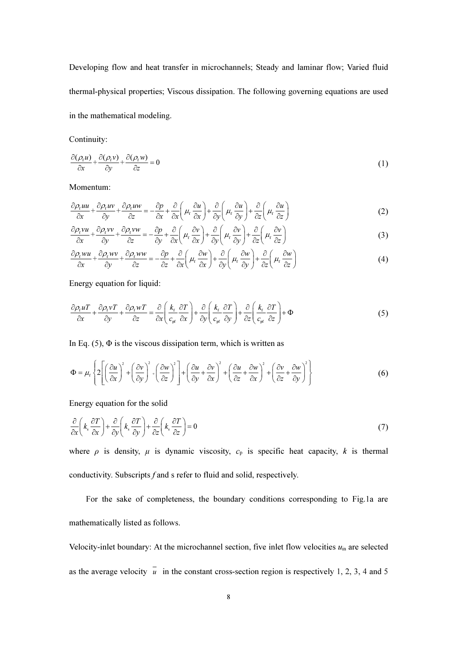Developing flow and heat transfer in microchannels; Steady and laminar flow; Varied fluid thermal-physical properties; Viscous dissipation. The following governing equations are used in the mathematical modeling.

Continuity:

$$
\frac{\partial(\rho_t u)}{\partial x} + \frac{\partial(\rho_t v)}{\partial y} + \frac{\partial(\rho_t w)}{\partial z} = 0
$$
\n(1)

Momentum:

$$
\frac{\partial \rho_t u u}{\partial x} + \frac{\partial \rho_t u v}{\partial y} + \frac{\partial \rho_t u v}{\partial z} = -\frac{\partial p}{\partial x} + \frac{\partial}{\partial x} \left( \mu_t \frac{\partial u}{\partial x} \right) + \frac{\partial}{\partial y} \left( \mu_t \frac{\partial u}{\partial y} \right) + \frac{\partial}{\partial z} \left( \mu_t \frac{\partial u}{\partial z} \right)
$$
(2)

$$
\frac{\partial \rho_f v u}{\partial x} + \frac{\partial \rho_f v v}{\partial y} + \frac{\partial \rho_f v w}{\partial z} = -\frac{\partial p}{\partial y} + \frac{\partial}{\partial x} \left( \mu_r \frac{\partial v}{\partial x} \right) + \frac{\partial}{\partial y} \left( \mu_r \frac{\partial v}{\partial y} \right) + \frac{\partial}{\partial z} \left( \mu_r \frac{\partial v}{\partial z} \right)
$$
(3)

$$
\frac{\partial \rho_{\rm f} w u}{\partial x} + \frac{\partial \rho_{\rm f} w v}{\partial y} + \frac{\partial \rho_{\rm f} w w}{\partial z} = -\frac{\partial p}{\partial z} + \frac{\partial}{\partial x} \left( \mu_{\rm f} \frac{\partial w}{\partial x} \right) + \frac{\partial}{\partial y} \left( \mu_{\rm f} \frac{\partial w}{\partial y} \right) + \frac{\partial}{\partial z} \left( \mu_{\rm f} \frac{\partial w}{\partial z} \right) \tag{4}
$$

Energy equation for liquid:

$$
\frac{\partial \rho_{\rm f} u}{\partial x} + \frac{\partial \rho_{\rm f} v}{\partial y} + \frac{\partial \rho_{\rm f} w}{\partial z} = \frac{\partial}{\partial x} \left( \frac{k_{\rm f}}{c_{\rm pf}} \frac{\partial T}{\partial x} \right) + \frac{\partial}{\partial y} \left( \frac{k_{\rm f}}{c_{\rm pf}} \frac{\partial T}{\partial y} \right) + \frac{\partial}{\partial z} \left( \frac{k_{\rm f}}{c_{\rm pf}} \frac{\partial T}{\partial z} \right) + \Phi \tag{5}
$$

In Eq.  $(5)$ ,  $\Phi$  is the viscous dissipation term, which is written as

$$
\Phi = \mu_{\rm f} \left\{ 2 \left[ \left( \frac{\partial u}{\partial x} \right)^2 + \left( \frac{\partial v}{\partial y} \right)^2 + \left( \frac{\partial w}{\partial z} \right)^2 \right] + \left( \frac{\partial u}{\partial y} + \frac{\partial v}{\partial x} \right)^2 + \left( \frac{\partial u}{\partial z} + \frac{\partial w}{\partial x} \right)^2 + \left( \frac{\partial v}{\partial z} + \frac{\partial w}{\partial y} \right)^2 \right\} \tag{6}
$$

Energy equation for the solid

$$
\frac{\partial}{\partial x}\left(k_s \frac{\partial T}{\partial x}\right) + \frac{\partial}{\partial y}\left(k_s \frac{\partial T}{\partial y}\right) + \frac{\partial}{\partial z}\left(k_s \frac{\partial T}{\partial z}\right) = 0\tag{7}
$$

where  $\rho$  is density,  $\mu$  is dynamic viscosity,  $c_p$  is specific heat capacity, k is thermal conductivity. Subscripts f and s refer to fluid and solid, respectively.

For the sake of completeness, the boundary conditions corresponding to Fig.1a are mathematically listed as follows.

Velocity-inlet boundary: At the microchannel section, five inlet flow velocities  $u_{\text{in}}$  are selected as the average velocity  $\overline{u}$  in the constant cross-section region is respectively 1, 2, 3, 4 and 5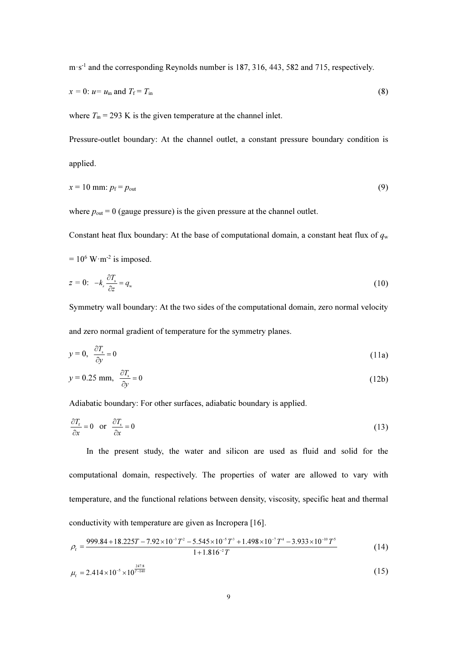m·s-1 and the corresponding Reynolds number is 187, 316, 443, 582 and 715, respectively.

$$
x = 0: u = uin and Tf = Tin
$$
 (8)

where  $T_{\text{in}}$  = 293 K is the given temperature at the channel inlet.

Pressure-outlet boundary: At the channel outlet, a constant pressure boundary condition is applied.

$$
x = 10 \text{ mm: } p_{\text{f}} = p_{\text{out}} \tag{9}
$$

where  $p_{\text{out}} = 0$  (gauge pressure) is the given pressure at the channel outlet.

Constant heat flux boundary: At the base of computational domain, a constant heat flux of  $q_w$ 

$$
= 10^6 \, \text{W} \cdot \text{m}^{-2} \text{ is imposed.}
$$

$$
z = 0: \t -k_s \frac{\partial T_s}{\partial z} = q_w \tag{10}
$$

Symmetry wall boundary: At the two sides of the computational domain, zero normal velocity and zero normal gradient of temperature for the symmetry planes.

$$
y = 0, \quad \frac{\partial T_s}{\partial y} = 0 \tag{11a}
$$

$$
y = 0.25 \text{ mm}, \quad \frac{\partial T_s}{\partial y} = 0 \tag{12b}
$$

Adiabatic boundary: For other surfaces, adiabatic boundary is applied.

$$
\frac{\partial T_{\rm f}}{\partial x} = 0 \quad \text{or} \quad \frac{\partial T_{\rm s}}{\partial x} = 0 \tag{13}
$$

In the present study, the water and silicon are used as fluid and solid for the computational domain, respectively. The properties of water are allowed to vary with temperature, and the functional relations between density, viscosity, specific heat and thermal conductivity with temperature are given as Incropera [16].

$$
\rho_{\rm f} = \frac{999.84 + 18.225T - 7.92 \times 10^{-3} T^2 - 5.545 \times 10^{-5} T^3 + 1.498 \times 10^{-7} T^4 - 3.933 \times 10^{-10} T^5}{1 + 1.816^{-2} T}
$$
(14)

$$
\mu_{\rm f} = 2.414 \times 10^{-5} \times 10^{\frac{247.8}{T-140}} \tag{15}
$$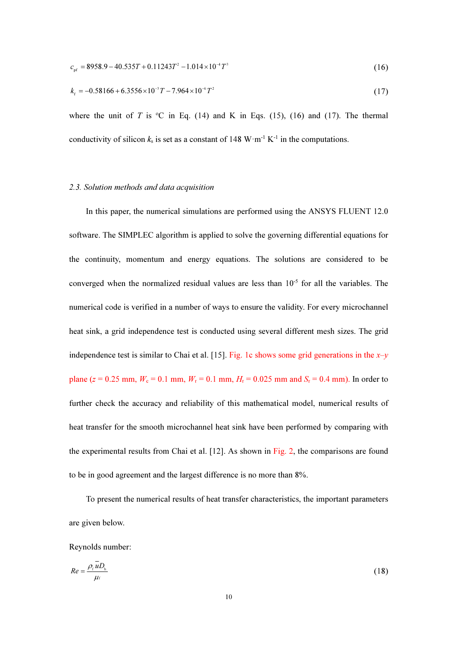$$
c_{\rm pf} = 8958.9 - 40.535T + 0.11243T^2 - 1.014 \times 10^{-4} T^3 \tag{16}
$$

$$
k_{\rm r} = -0.58166 + 6.3556 \times 10^{-3} T - 7.964 \times 10^{-6} T^2 \tag{17}
$$

where the unit of T is  ${}^{\circ}C$  in Eq. (14) and K in Eqs. (15), (16) and (17). The thermal conductivity of silicon  $k_s$  is set as a constant of 148 W·m<sup>-1</sup> K<sup>-1</sup> in the computations.

#### 2.3. Solution methods and data acquisition

In this paper, the numerical simulations are performed using the ANSYS FLUENT 12.0 software. The SIMPLEC algorithm is applied to solve the governing differential equations for the continuity, momentum and energy equations. The solutions are considered to be converged when the normalized residual values are less than  $10^{-5}$  for all the variables. The numerical code is verified in a number of ways to ensure the validity. For every microchannel heat sink, a grid independence test is conducted using several different mesh sizes. The grid independence test is similar to Chai et al. [15]. Fig. 1c shows some grid generations in the  $x-y$ plane (z = 0.25 mm,  $W_c = 0.1$  mm,  $W_r = 0.1$  mm,  $H_r = 0.025$  mm and  $S_r = 0.4$  mm). In order to further check the accuracy and reliability of this mathematical model, numerical results of heat transfer for the smooth microchannel heat sink have been performed by comparing with the experimental results from Chai et al. [12]. As shown in Fig. 2, the comparisons are found to be in good agreement and the largest difference is no more than 8%.

To present the numerical results of heat transfer characteristics, the important parameters are given below.

Reynolds number:

$$
Re = \frac{\rho_{\rm f} \bar{u} D_{\rm h}}{\mu_{\rm f}} \tag{18}
$$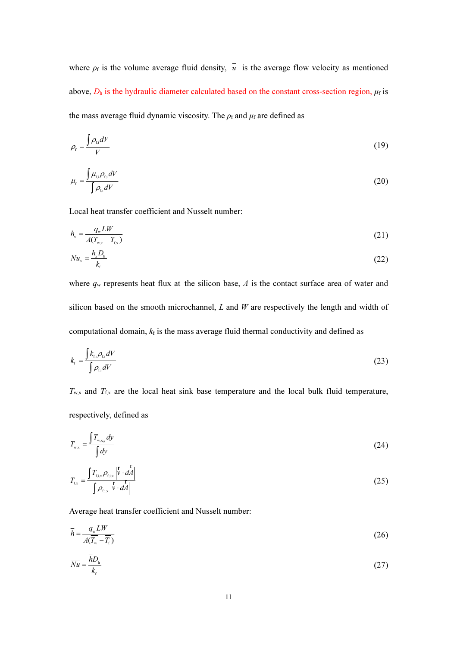where  $\rho_f$  is the volume average fluid density,  $\bar{u}$  is the average flow velocity as mentioned above,  $D_h$  is the hydraulic diameter calculated based on the constant cross-section region,  $\mu_f$  is the mass average fluid dynamic viscosity. The  $\rho_f$  and  $\mu_f$  are defined as

$$
\rho_{\rm r} = \frac{\int \rho_{\rm ti} dV}{V} \tag{19}
$$

$$
\mu_{\rm r} = \frac{\int \mu_{\rm r,i} \rho_{\rm r,i} dV}{\int \rho_{\rm r,i} dV}
$$
\n(20)

Local heat transfer coefficient and Nusselt number:

$$
h_{\rm x} = \frac{q_{\rm w} L W}{A(T_{\rm w.x} - T_{\rm rx})} \tag{21}
$$

$$
Nu_{x} = \frac{h_{x}D_{h}}{k_{f}}
$$
\n(22)

where  $q_w$  represents heat flux at the silicon base, A is the contact surface area of water and silicon based on the smooth microchannel,  $L$  and  $W$  are respectively the length and width of computational domain,  $k_f$  is the mass average fluid thermal conductivity and defined as

$$
k_{\rm r} = \frac{\int k_{\rm r,i} \rho_{\rm r,i} dV}{\int \rho_{\rm r,i} dV}
$$
\n(23)

 $T_{w,x}$  and  $T_{f,x}$  are the local heat sink base temperature and the local bulk fluid temperature, respectively, defined as

$$
T_{w,x} = \frac{\int T_{w,xy} dy}{\int dy}
$$
 (24)

$$
T_{\rm{tx}} = \frac{\int T_{\rm{fix}} \rho_{\rm{fix}} \left| \vec{v} \cdot d\vec{A} \right|}{\int \rho_{\rm{fix}} \left| \vec{v} \cdot d\vec{A} \right|} \tag{25}
$$

Average heat transfer coefficient and Nusselt number:

$$
\overline{h} = \frac{q_{\rm w} L W}{A(\overline{T_{\rm w}} - \overline{T_{\rm f}})}\tag{26}
$$

$$
\overline{Nu} = \frac{\overline{h}D_h}{k_f} \tag{27}
$$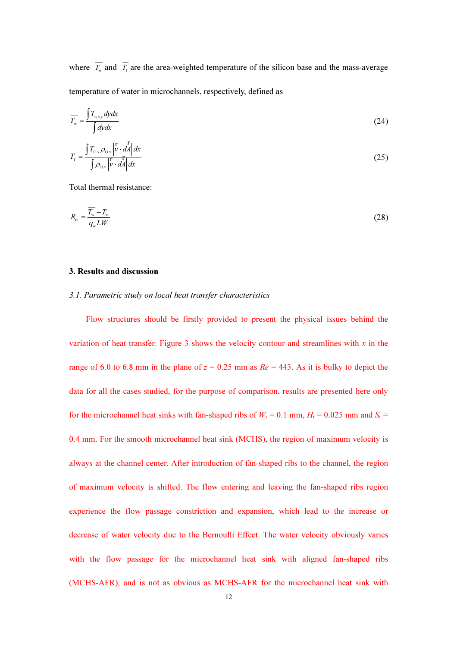where  $\overline{T_w}$  and  $\overline{T_t}$  are the area-weighted temperature of the silicon base and the mass-average temperature of water in microchannels, respectively, defined as

$$
\overline{T_{w}} = \frac{\int T_{wxy} dy dx}{\int dy dx}
$$
\n(24)

$$
\overline{T}_{\rm f} = \frac{\int T_{\rm f,i,x} \rho_{\rm f,i,x} \left| \vec{v} \cdot d\vec{A} \right| dx}{\int \rho_{\rm f,i,x} \left| \vec{v} \cdot d\vec{A} \right| dx}
$$
\n(25)

Total thermal resistance:

$$
R_{\rm th} = \frac{\overline{T_{\rm w}} - T_{\rm in}}{q_{\rm w} L W} \tag{28}
$$

#### 3. Results and discussion

#### 3.1. Parametric study on local heat transfer characteristics

Flow structures should be firstly provided to present the physical issues behind the variation of heat transfer. Figure 3 shows the velocity contour and streamlines with  $x$  in the range of 6.0 to 6.8 mm in the plane of  $z = 0.25$  mm as  $Re = 443$ . As it is bulky to depict the data for all the cases studied, for the purpose of comparison, results are presented here only for the microchannel heat sinks with fan-shaped ribs of  $W_r = 0.1$  mm,  $H_r = 0.025$  mm and  $S_r =$ 0.4 mm. For the smooth microchannel heat sink (MCHS), the region of maximum velocity is always at the channel center. After introduction of fan-shaped ribs to the channel, the region of maximum velocity is shifted. The flow entering and leaving the fan-shaped ribs region experience the flow passage constriction and expansion, which lead to the increase or decrease of water velocity due to the Bernoulli Effect. The water velocity obviously varies with the flow passage for the microchannel heat sink with aligned fan-shaped ribs (MCHS-AFR), and is not as obvious as MCHS-AFR for the microchannel heat sink with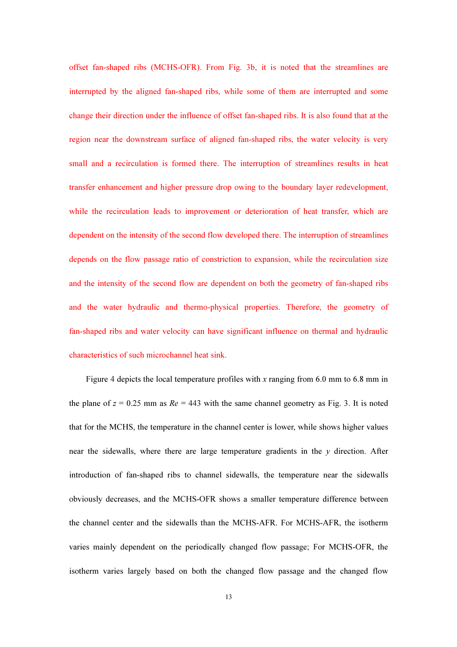offset fan-shaped ribs (MCHS-OFR). From Fig. 3b, it is noted that the streamlines are interrupted by the aligned fan-shaped ribs, while some of them are interrupted and some change their direction under the influence of offset fan-shaped ribs. It is also found that at the region near the downstream surface of aligned fan-shaped ribs, the water velocity is very small and a recirculation is formed there. The interruption of streamlines results in heat transfer enhancement and higher pressure drop owing to the boundary layer redevelopment, while the recirculation leads to improvement or deterioration of heat transfer, which are dependent on the intensity of the second flow developed there. The interruption of streamlines depends on the flow passage ratio of constriction to expansion, while the recirculation size and the intensity of the second flow are dependent on both the geometry of fan-shaped ribs and the water hydraulic and thermo-physical properties. Therefore, the geometry of fan-shaped ribs and water velocity can have significant influence on thermal and hydraulic characteristics of such microchannel heat sink.

Figure 4 depicts the local temperature profiles with x ranging from 6.0 mm to 6.8 mm in the plane of  $z = 0.25$  mm as  $Re = 443$  with the same channel geometry as Fig. 3. It is noted that for the MCHS, the temperature in the channel center is lower, while shows higher values near the sidewalls, where there are large temperature gradients in the  $\nu$  direction. After introduction of fan-shaped ribs to channel sidewalls, the temperature near the sidewalls obviously decreases, and the MCHS-OFR shows a smaller temperature difference between the channel center and the sidewalls than the MCHS-AFR. For MCHS-AFR, the isotherm varies mainly dependent on the periodically changed flow passage; For MCHS-OFR, the isotherm varies largely based on both the changed flow passage and the changed flow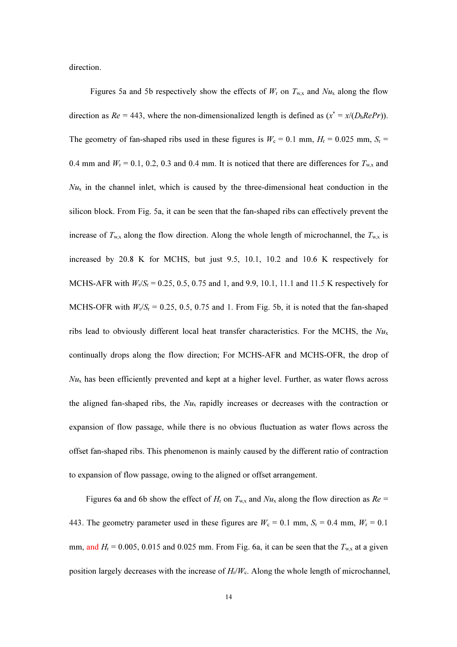direction.

Figures 5a and 5b respectively show the effects of  $W_r$  on  $T_{w.x}$  and  $Nu_x$  along the flow direction as  $Re = 443$ , where the non-dimensionalized length is defined as  $(x^* = x/(D_h Re Pr))$ . The geometry of fan-shaped ribs used in these figures is  $W_c = 0.1$  mm,  $H_r = 0.025$  mm,  $S_r =$ 0.4 mm and  $W_r = 0.1, 0.2, 0.3$  and 0.4 mm. It is noticed that there are differences for  $T_{w,x}$  and  $Nu<sub>x</sub>$  in the channel inlet, which is caused by the three-dimensional heat conduction in the silicon block. From Fig. 5a, it can be seen that the fan-shaped ribs can effectively prevent the increase of  $T_{w,x}$  along the flow direction. Along the whole length of microchannel, the  $T_{w,x}$  is increased by 20.8 K for MCHS, but just 9.5, 10.1, 10.2 and 10.6 K respectively for MCHS-AFR with  $W_r/S_r = 0.25, 0.5, 0.75$  and 1, and 9.9, 10.1, 11.1 and 11.5 K respectively for MCHS-OFR with  $W_r/S_r = 0.25, 0.5, 0.75$  and 1. From Fig. 5b, it is noted that the fan-shaped ribs lead to obviously different local heat transfer characteristics. For the MCHS, the  $Nu<sub>x</sub>$ continually drops along the flow direction; For MCHS-AFR and MCHS-OFR, the drop of  $N_{u_x}$  has been efficiently prevented and kept at a higher level. Further, as water flows across the aligned fan-shaped ribs, the  $Nu<sub>x</sub>$  rapidly increases or decreases with the contraction or expansion of flow passage, while there is no obvious fluctuation as water flows across the offset fan-shaped ribs. This phenomenon is mainly caused by the different ratio of contraction to expansion of flow passage, owing to the aligned or offset arrangement.

Figures 6a and 6b show the effect of  $H_r$  on  $T_{w,x}$  and  $Nu_x$  along the flow direction as  $Re =$ 443. The geometry parameter used in these figures are  $W_c = 0.1$  mm,  $S_r = 0.4$  mm,  $W_r = 0.1$ mm, and  $H_r = 0.005$ , 0.015 and 0.025 mm. From Fig. 6a, it can be seen that the  $T_{w,x}$  at a given position largely decreases with the increase of  $H_r/W_c$ . Along the whole length of microchannel,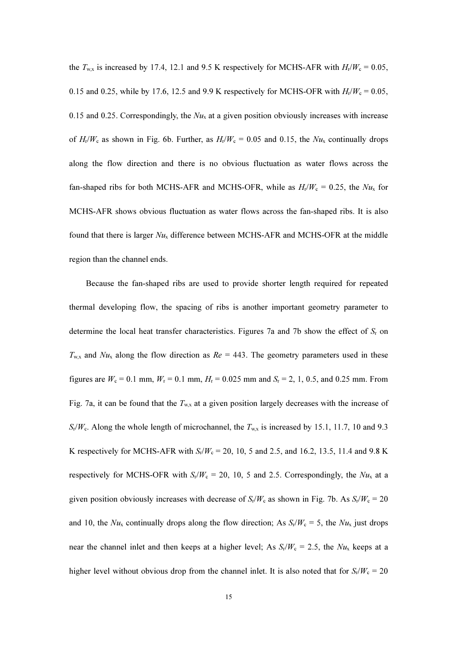the  $T_{\text{wx}}$  is increased by 17.4, 12.1 and 9.5 K respectively for MCHS-AFR with  $H_r/W_c = 0.05$ , 0.15 and 0.25, while by 17.6, 12.5 and 9.9 K respectively for MCHS-OFR with  $H_r/W_c = 0.05$ , 0.15 and 0.25. Correspondingly, the  $Nu<sub>x</sub>$  at a given position obviously increases with increase of  $H_v/W_c$  as shown in Fig. 6b. Further, as  $H_v/W_c = 0.05$  and 0.15, the  $Nu_x$  continually drops along the flow direction and there is no obvious fluctuation as water flows across the fan-shaped ribs for both MCHS-AFR and MCHS-OFR, while as  $H_r/W_c = 0.25$ , the  $Nu_x$  for MCHS-AFR shows obvious fluctuation as water flows across the fan-shaped ribs. It is also found that there is larger  $Nu_x$  difference between MCHS-AFR and MCHS-OFR at the middle region than the channel ends.

Because the fan-shaped ribs are used to provide shorter length required for repeated thermal developing flow, the spacing of ribs is another important geometry parameter to determine the local heat transfer characteristics. Figures 7a and 7b show the effect of  $S_r$  on  $T_{w,x}$  and  $Nu_x$  along the flow direction as  $Re = 443$ . The geometry parameters used in these figures are  $W_c = 0.1$  mm,  $W_r = 0.1$  mm,  $H_r = 0.025$  mm and  $S_r = 2, 1, 0.5$ , and 0.25 mm. From Fig. 7a, it can be found that the  $T_{w.x}$  at a given position largely decreases with the increase of  $S_r/W_c$ . Along the whole length of microchannel, the  $T_{w,x}$  is increased by 15.1, 11.7, 10 and 9.3 K respectively for MCHS-AFR with  $S_r/W_c = 20$ , 10, 5 and 2.5, and 16.2, 13.5, 11.4 and 9.8 K respectively for MCHS-OFR with  $S_r/W_c = 20$ , 10, 5 and 2.5. Correspondingly, the  $Nu_x$  at a given position obviously increases with decrease of  $S_r/W_c$  as shown in Fig. 7b. As  $S_r/W_c = 20$ and 10, the  $Nu_x$  continually drops along the flow direction; As  $S_r/W_c = 5$ , the  $Nu_x$  just drops near the channel inlet and then keeps at a higher level; As  $S_r/W_c = 2.5$ , the  $Nu_x$  keeps at a higher level without obvious drop from the channel inlet. It is also noted that for  $S_r/W_c = 20$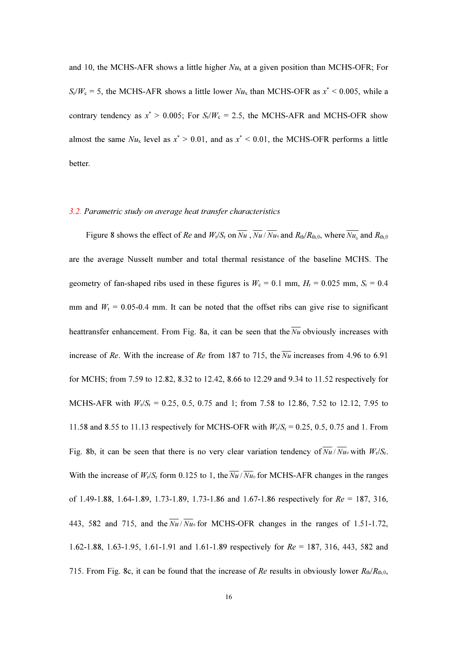and 10, the MCHS-AFR shows a little higher  $Nu_x$  at a given position than MCHS-OFR; For  $S_r/W_c = 5$ , the MCHS-AFR shows a little lower  $Nu_x$  than MCHS-OFR as  $x^* < 0.005$ , while a contrary tendency as  $x^* > 0.005$ ; For  $S_r/W_c = 2.5$ , the MCHS-AFR and MCHS-OFR show almost the same  $Nu_x$  level as  $x^* > 0.01$ , and as  $x^* < 0.01$ , the MCHS-OFR performs a little better.

#### 3.2. Parametric study on average heat transfer characteristics

Figure 8 shows the effect of Re and  $W_r/S_r$  on  $\overline{Nu}$  ,  $\overline{Nu}$  /  $\overline{Nu}$  and  $R_{th}/R_{th,0}$ , where  $\overline{Nu}$  and  $R_{th,0}$ are the average Nusselt number and total thermal resistance of the baseline MCHS. The geometry of fan-shaped ribs used in these figures is  $W_c = 0.1$  mm,  $H_r = 0.025$  mm,  $S_r = 0.4$ mm and  $W_r = 0.05$ -0.4 mm. It can be noted that the offset ribs can give rise to significant heattransfer enhancement. From Fig. 8a, it can be seen that the  $\overline{Nu}$  obviously increases with increase of Re. With the increase of Re from 187 to 715, the  $\overline{Nu}$  increases from 4.96 to 6.91 for MCHS; from 7.59 to 12.82, 8.32 to 12.42, 8.66 to 12.29 and 9.34 to 11.52 respectively for MCHS-AFR with  $W_r/S_r = 0.25, 0.5, 0.75$  and 1; from 7.58 to 12.86, 7.52 to 12.12, 7.95 to 11.58 and 8.55 to 11.13 respectively for MCHS-OFR with  $W_r/S_r = 0.25, 0.5, 0.75$  and 1. From Fig. 8b, it can be seen that there is no very clear variation tendency of  $\overline{Nu}$   $\overline{Nu}$  with  $W_r/S_r$ . With the increase of  $W_r/S_r$  form 0.125 to 1, the  $\overline{Nu}$  /  $\overline{Nu}$  for MCHS-AFR changes in the ranges of 1.49-1.88, 1.64-1.89, 1.73-1.89, 1.73-1.86 and 1.67-1.86 respectively for Re = 187, 316, 443, 582 and 715, and the  $\frac{N_u}{Nu}$  for MCHS-OFR changes in the ranges of 1.51-1.72, 1.62-1.88, 1.63-1.95, 1.61-1.91 and 1.61-1.89 respectively for Re = 187, 316, 443, 582 and 715. From Fig. 8c, it can be found that the increase of Re results in obviously lower  $R_{\text{th}}/R_{\text{th,0}}$ ,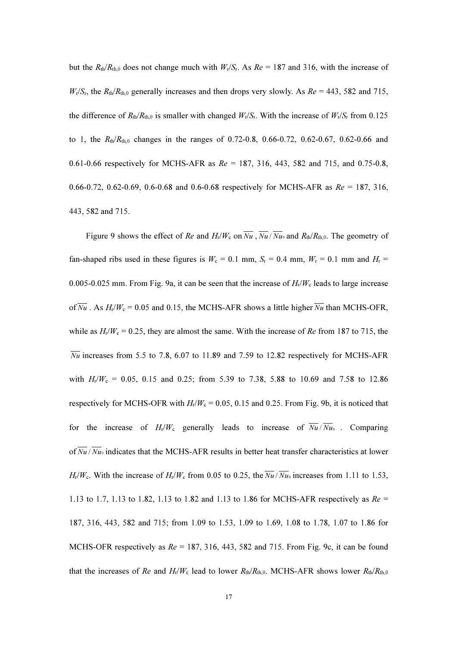but the  $R_{\text{th}}/R_{\text{th,0}}$  does not change much with  $W_{\text{r}}/S_{\text{r}}$ . As  $Re = 187$  and 316, with the increase of  $W_r/S_r$ , the  $R_{\text{th}}/R_{\text{th},0}$  generally increases and then drops very slowly. As  $Re = 443$ , 582 and 715, the difference of  $R_{\text{th}}/R_{\text{th},0}$  is smaller with changed  $W_{\text{r}}/S_{\text{r}}$ . With the increase of  $W_{\text{r}}/S_{\text{r}}$  from 0.125 to 1, the  $R_{th}/R_{th,0}$  changes in the ranges of 0.72-0.8, 0.66-0.72, 0.62-0.67, 0.62-0.66 and 0.61-0.66 respectively for MCHS-AFR as  $Re = 187, 316, 443, 582$  and 715, and 0.75-0.8, 0.66-0.72, 0.62-0.69, 0.6-0.68 and 0.6-0.68 respectively for MCHS-AFR as  $Re = 187, 316$ , 443, 582 and 715.

Figure 9 shows the effect of Re and  $H_r/W_c$  on  $\overline{Nu}$ ,  $\overline{Nu}$ ,  $\overline{Nu}$  and  $R_{th}/R_{th,0}$ . The geometry of fan-shaped ribs used in these figures is  $W_c = 0.1$  mm,  $S_r = 0.4$  mm,  $W_r = 0.1$  mm and  $H_r =$ 0.005-0.025 mm. From Fig. 9a, it can be seen that the increase of  $H_1/W_c$  leads to large increase of  $\overline{Nu}$ . As  $H_1/W_c = 0.05$  and 0.15, the MCHS-AFR shows a little higher  $\overline{Nu}$  than MCHS-OFR, while as  $H_r/W_c = 0.25$ , they are almost the same. With the increase of Re from 187 to 715, the  $\overline{Nu}$  increases from 5.5 to 7.8, 6.07 to 11.89 and 7.59 to 12.82 respectively for MCHS-AFR with  $H_r/W_c = 0.05$ , 0.15 and 0.25; from 5.39 to 7.38, 5.88 to 10.69 and 7.58 to 12.86 respectively for MCHS-OFR with  $H_r/W_c = 0.05$ , 0.15 and 0.25. From Fig. 9b, it is noticed that for the increase of  $H_r/W_c$  generally leads to increase of  $\overline{Nu}/\overline{Nu}$ . Comparing of  $\overline{Nu}$  /  $\overline{Nu}$  indicates that the MCHS-AFR results in better heat transfer characteristics at lower  $H_v/W_c$ . With the increase of  $H_v/W_c$  from 0.05 to 0.25, the  $\overline{Nu}$  /  $\overline{Nu}$  increases from 1.11 to 1.53, 1.13 to 1.7, 1.13 to 1.82, 1.13 to 1.82 and 1.13 to 1.86 for MCHS-AFR respectively as  $Re =$ 187, 316, 443, 582 and 715; from 1.09 to 1.53, 1.09 to 1.69, 1.08 to 1.78, 1.07 to 1.86 for MCHS-OFR respectively as  $Re = 187, 316, 443, 582$  and 715. From Fig. 9c, it can be found that the increases of Re and  $H_r/W_c$  lead to lower  $R_{th}/R_{th,0}$ . MCHS-AFR shows lower  $R_{th}/R_{th,0}$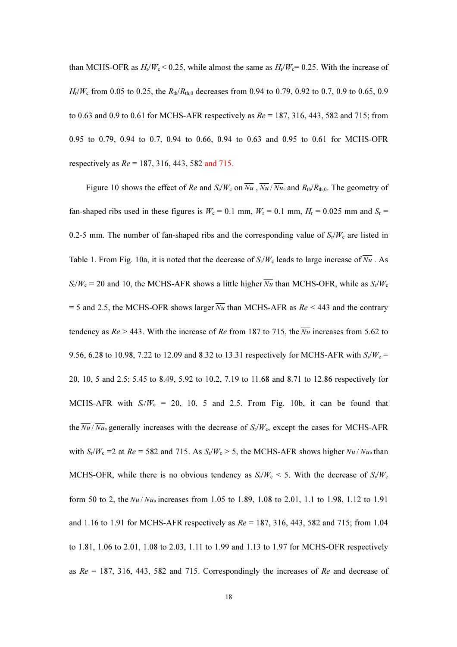than MCHS-OFR as  $H_r/W_c$  < 0.25, while almost the same as  $H_r/W_c$  = 0.25. With the increase of  $H_1/W_c$  from 0.05 to 0.25, the  $R_{th}/R_{th,0}$  decreases from 0.94 to 0.79, 0.92 to 0.7, 0.9 to 0.65, 0.9 to 0.63 and 0.9 to 0.61 for MCHS-AFR respectively as  $Re = 187, 316, 443, 582$  and 715; from 0.95 to 0.79, 0.94 to 0.7, 0.94 to 0.66, 0.94 to 0.63 and 0.95 to 0.61 for MCHS-OFR respectively as  $Re = 187, 316, 443, 582$  and 715.

Figure 10 shows the effect of Re and  $S_t/W_c$  on  $\overline{Nu}$ ,  $\overline{Nu}$ ,  $\overline{Nu}$  and  $R_{th}/R_{th,0}$ . The geometry of fan-shaped ribs used in these figures is  $W_c = 0.1$  mm,  $W_r = 0.1$  mm,  $H_r = 0.025$  mm and  $S_r =$ 0.2-5 mm. The number of fan-shaped ribs and the corresponding value of  $S_r/W_c$  are listed in Table 1. From Fig. 10a, it is noted that the decrease of  $S_r/W_c$  leads to large increase of  $\overline{Nu}$ . As  $S_r/W_c = 20$  and 10, the MCHS-AFR shows a little higher  $\overline{Nu}$  than MCHS-OFR, while as  $S_r/W_c$ = 5 and 2.5, the MCHS-OFR shows larger  $\overline{Nu}$  than MCHS-AFR as  $Re < 443$  and the contrary tendency as  $Re > 443$ . With the increase of Re from 187 to 715, the  $\overline{Nu}$  increases from 5.62 to 9.56, 6.28 to 10.98, 7.22 to 12.09 and 8.32 to 13.31 respectively for MCHS-AFR with  $S_r/W_c =$ 20, 10, 5 and 2.5; 5.45 to 8.49, 5.92 to 10.2, 7.19 to 11.68 and 8.71 to 12.86 respectively for MCHS-AFR with  $S_r/W_c = 20$ , 10, 5 and 2.5. From Fig. 10b, it can be found that the  $\overline{Nu}/\overline{Nu}$  generally increases with the decrease of  $S_r/W_c$ , except the cases for MCHS-AFR with  $S_r/W_c = 2$  at  $Re = 582$  and 715. As  $S_r/W_c > 5$ , the MCHS-AFR shows higher  $\overline{Nu}$  /  $\overline{Nu}$  than MCHS-OFR, while there is no obvious tendency as  $S_r/W_c < 5$ . With the decrease of  $S_r/W_c$ form 50 to 2, the  $\sqrt{Nu}$  increases from 1.05 to 1.89, 1.08 to 2.01, 1.1 to 1.98, 1.12 to 1.91 and 1.16 to 1.91 for MCHS-AFR respectively as  $Re = 187, 316, 443, 582$  and 715; from 1.04 to 1.81, 1.06 to 2.01, 1.08 to 2.03, 1.11 to 1.99 and 1.13 to 1.97 for MCHS-OFR respectively as  $Re = 187, 316, 443, 582$  and 715. Correspondingly the increases of Re and decrease of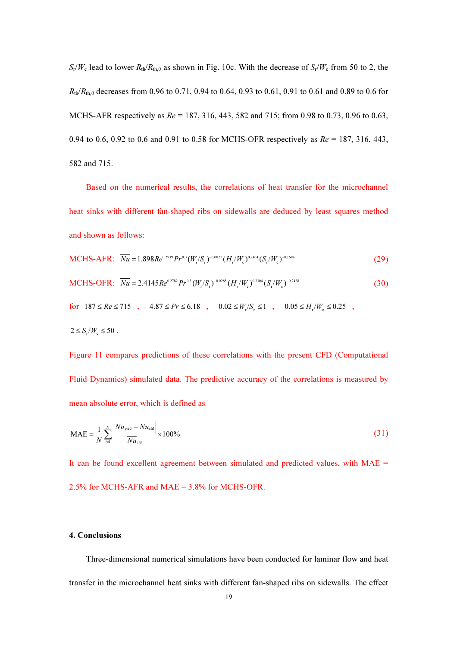$S_r/W_c$  lead to lower  $R_{th}/R_{th,0}$  as shown in Fig. 10c. With the decrease of  $S_r/W_c$  from 50 to 2, the  $R_{\text{th}}/R_{\text{th},0}$  decreases from 0.96 to 0.71, 0.94 to 0.64, 0.93 to 0.61, 0.91 to 0.61 and 0.89 to 0.6 for MCHS-AFR respectively as  $Re = 187, 316, 443, 582$  and 715; from 0.98 to 0.73, 0.96 to 0.63, 0.94 to 0.6, 0.92 to 0.6 and 0.91 to 0.58 for MCHS-OFR respectively as  $Re = 187, 316, 443,$ 582 and 715.

Based on the numerical results, the correlations of heat transfer for the microchannel heat sinks with different fan-shaped ribs on sidewalls are deduced by least squares method and shown as follows:

MCHS-AFR: 
$$
\overline{Nu} = 1.898Re^{0.2939}Pr^{0.3}(W_r/S_r)^{-0.0027}(H_r/W_c)^{0.2404}(S_r/W_c)^{-0.1684}
$$
 (29)

MCHS-OFR: 
$$
\overline{Nu} = 2.4145 Re^{0.2782} Pr^{0.3} (W_r/S_r)^{-0.0285} (H_r/W_c)^{0.3304} (S_r/W_c)^{-0.2428}
$$
 (30)

for  $187 \le Re \le 715$ ,  $4.87 \le Pr \le 6.18$ ,  $0.02 \le W_r/S_r \le 1$ ,  $0.05 \le H_r/W_c \le 0.25$ ,

$$
2 \leq S_{\rm r}/W_{\rm c} \leq 50.
$$

Figure 11 compares predictions of these correlations with the present CFD (Computational Fluid Dynamics) simulated data. The predictive accuracy of the correlations is measured by mean absolute error, which is defined as

$$
\text{MAE} = \frac{1}{N} \sum_{i=1}^{N} \frac{\left| \overline{Nu}_{\text{pred}} - \overline{Nu}_{\text{ctd}} \right|}{\overline{Nu}_{\text{ctd}}} \times 100\%
$$
(31)

It can be found excellent agreement between simulated and predicted values, with MAE = 2.5% for MCHS-AFR and MAE = 3.8% for MCHS-OFR.

# 4. Conclusions

Three-dimensional numerical simulations have been conducted for laminar flow and heat transfer in the microchannel heat sinks with different fan-shaped ribs on sidewalls. The effect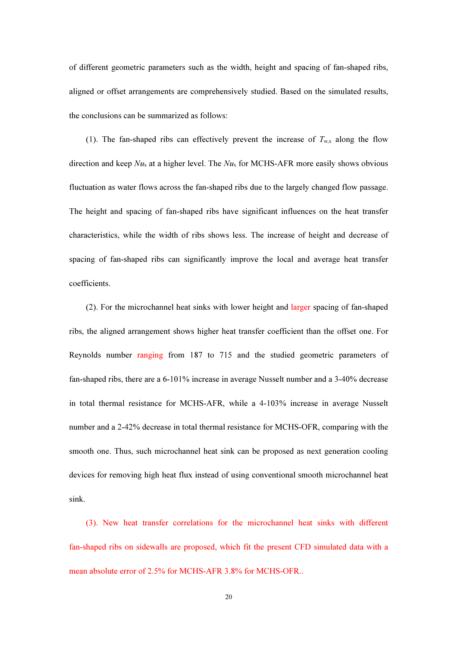of different geometric parameters such as the width, height and spacing of fan-shaped ribs, aligned or offset arrangements are comprehensively studied. Based on the simulated results, the conclusions can be summarized as follows:

(1). The fan-shaped ribs can effectively prevent the increase of  $T_{\text{w}x}$  along the flow direction and keep  $Nu_x$  at a higher level. The  $Nu_x$  for MCHS-AFR more easily shows obvious fluctuation as water flows across the fan-shaped ribs due to the largely changed flow passage. The height and spacing of fan-shaped ribs have significant influences on the heat transfer characteristics, while the width of ribs shows less. The increase of height and decrease of spacing of fan-shaped ribs can significantly improve the local and average heat transfer coefficients.

(2). For the microchannel heat sinks with lower height and larger spacing of fan-shaped ribs, the aligned arrangement shows higher heat transfer coefficient than the offset one. For Reynolds number ranging from 187 to 715 and the studied geometric parameters of fan-shaped ribs, there are a 6-101% increase in average Nusselt number and a 3-40% decrease in total thermal resistance for MCHS-AFR, while a 4-103% increase in average Nusselt number and a 2-42% decrease in total thermal resistance for MCHS-OFR, comparing with the smooth one. Thus, such microchannel heat sink can be proposed as next generation cooling devices for removing high heat flux instead of using conventional smooth microchannel heat sink.

(3). New heat transfer correlations for the microchannel heat sinks with different fan-shaped ribs on sidewalls are proposed, which fit the present CFD simulated data with a mean absolute error of 2.5% for MCHS-AFR 3.8% for MCHS-OFR..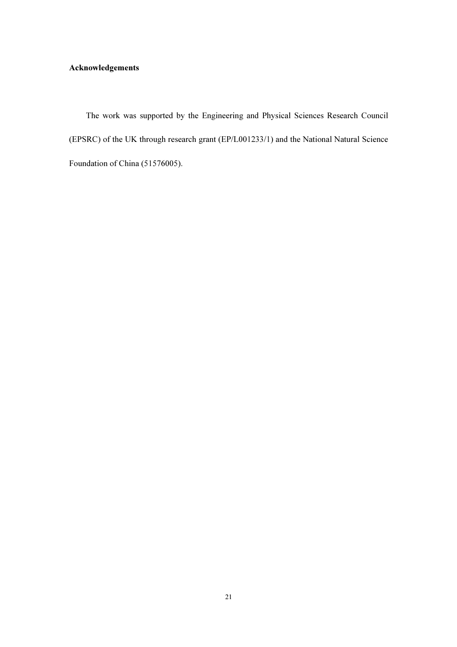# Acknowledgements

The work was supported by the Engineering and Physical Sciences Research Council (EPSRC) of the UK through research grant (EP/L001233/1) and the National Natural Science Foundation of China (51576005).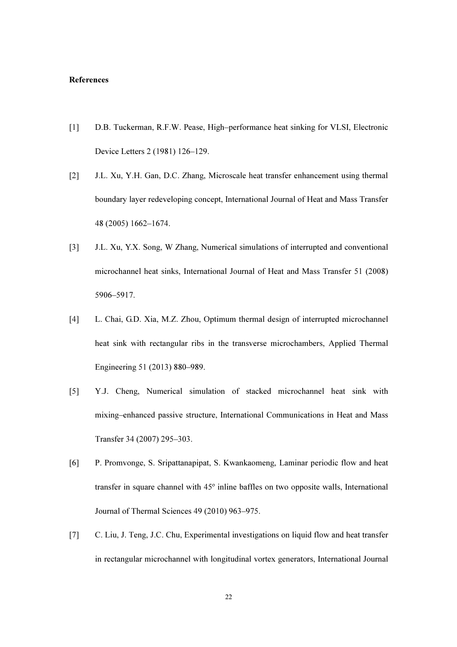# References

- [1] D.B. Tuckerman, R.F.W. Pease, High–performance heat sinking for VLSI, Electronic Device Letters 2 (1981) 126–129.
- [2] J.L. Xu, Y.H. Gan, D.C. Zhang, Microscale heat transfer enhancement using thermal boundary layer redeveloping concept, International Journal of Heat and Mass Transfer 48 (2005) 1662–1674.
- [3] J.L. Xu, Y.X. Song, W Zhang, Numerical simulations of interrupted and conventional microchannel heat sinks, International Journal of Heat and Mass Transfer 51 (2008) 5906–5917.
- [4] L. Chai, G.D. Xia, M.Z. Zhou, Optimum thermal design of interrupted microchannel heat sink with rectangular ribs in the transverse microchambers, Applied Thermal Engineering 51 (2013) 880–989.
- [5] Y.J. Cheng, Numerical simulation of stacked microchannel heat sink with mixing–enhanced passive structure, International Communications in Heat and Mass Transfer 34 (2007) 295–303.
- [6] P. Promvonge, S. Sripattanapipat, S. Kwankaomeng, Laminar periodic flow and heat transfer in square channel with 45º inline baffles on two opposite walls, International Journal of Thermal Sciences 49 (2010) 963–975.
- [7] C. Liu, J. Teng, J.C. Chu, Experimental investigations on liquid flow and heat transfer in rectangular microchannel with longitudinal vortex generators, International Journal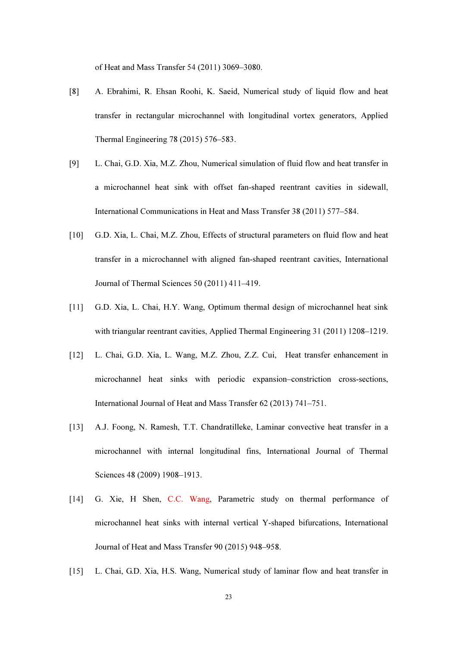of Heat and Mass Transfer 54 (2011) 3069–3080.

- [8] A. Ebrahimi, R. Ehsan Roohi, K. Saeid, Numerical study of liquid flow and heat transfer in rectangular microchannel with longitudinal vortex generators, Applied Thermal Engineering 78 (2015) 576–583.
- [9] L. Chai, G.D. Xia, M.Z. Zhou, Numerical simulation of fluid flow and heat transfer in a microchannel heat sink with offset fan-shaped reentrant cavities in sidewall, International Communications in Heat and Mass Transfer 38 (2011) 577–584.
- [10] G.D. Xia, L. Chai, M.Z. Zhou, Effects of structural parameters on fluid flow and heat transfer in a microchannel with aligned fan-shaped reentrant cavities, International Journal of Thermal Sciences 50 (2011) 411–419.
- [11] G.D. Xia, L. Chai, H.Y. Wang, Optimum thermal design of microchannel heat sink with triangular reentrant cavities, Applied Thermal Engineering 31 (2011) 1208–1219.
- [12] L. Chai, G.D. Xia, L. Wang, M.Z. Zhou, Z.Z. Cui, Heat transfer enhancement in microchannel heat sinks with periodic expansion–constriction cross-sections, International Journal of Heat and Mass Transfer 62 (2013) 741–751.
- [13] A.J. Foong, N. Ramesh, T.T. Chandratilleke, Laminar convective heat transfer in a microchannel with internal longitudinal fins, International Journal of Thermal Sciences 48 (2009) 1908–1913.
- [14] G. Xie, H Shen, C.C. Wang, Parametric study on thermal performance of microchannel heat sinks with internal vertical Y-shaped bifurcations, International Journal of Heat and Mass Transfer 90 (2015) 948–958.
- [15] L. Chai, G.D. Xia, H.S. Wang, Numerical study of laminar flow and heat transfer in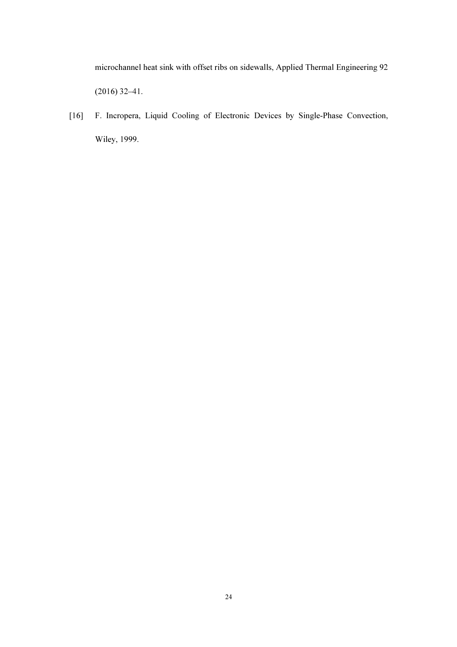microchannel heat sink with offset ribs on sidewalls, Applied Thermal Engineering 92 (2016) 32–41.

[16] F. Incropera, Liquid Cooling of Electronic Devices by Single-Phase Convection, Wiley, 1999.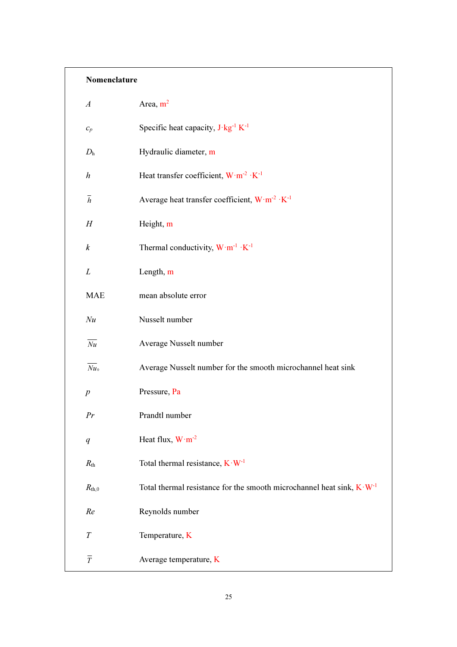# Nomenclature

| $\boldsymbol{A}$    | Area, $m^2$                                                                      |
|---------------------|----------------------------------------------------------------------------------|
| $c_p$               | Specific heat capacity, $J \cdot kg^{-1} K^{-1}$                                 |
| $D_{\rm h}$         | Hydraulic diameter, m                                                            |
| $\boldsymbol{h}$    | Heat transfer coefficient, $W \cdot m^{-2} \cdot K^{-1}$                         |
| $\bar{h}$           | Average heat transfer coefficient, $W \cdot m^{-2} \cdot K^{-1}$                 |
| H                   | Height, m                                                                        |
| $\boldsymbol{k}$    | Thermal conductivity, $W \cdot m^{-1} \cdot K^{-1}$                              |
| L                   | Length, m                                                                        |
| <b>MAE</b>          | mean absolute error                                                              |
| Nu                  | Nusselt number                                                                   |
| $\overline{Nu}$     | Average Nusselt number                                                           |
| $\overline{Nu}_{0}$ | Average Nusselt number for the smooth microchannel heat sink                     |
| $\boldsymbol{p}$    | Pressure, Pa                                                                     |
| Pr                  | Prandtl number                                                                   |
| q                   | Heat flux, $W \cdot m^{-2}$                                                      |
| $R_{\rm th}$        | Total thermal resistance, $K \cdot W^{-1}$                                       |
| $R_{th,0}$          | Total thermal resistance for the smooth microchannel heat sink, $K \cdot W^{-1}$ |
| Re                  | Reynolds number                                                                  |
| $\boldsymbol{T}$    | Temperature, K                                                                   |
| $\overline{T}$      | Average temperature, K                                                           |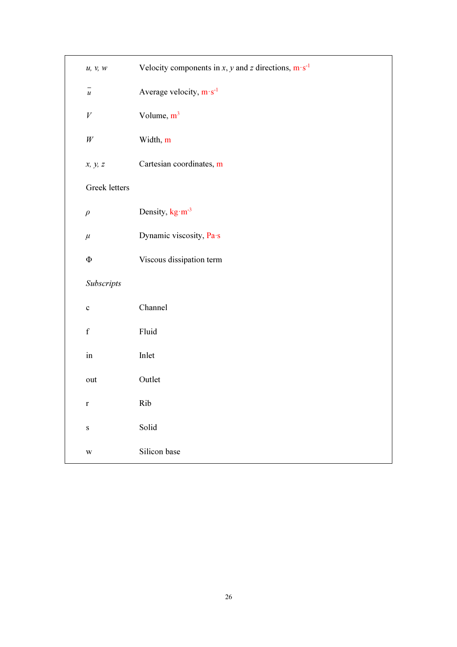| u, v, w                                      | Velocity components in x, y and z directions, $m \cdot s^{-1}$ |  |  |  |  |  |
|----------------------------------------------|----------------------------------------------------------------|--|--|--|--|--|
| $\overline{\phantom{m}}$<br>$\boldsymbol{u}$ | Average velocity, $m \cdot s^{-1}$                             |  |  |  |  |  |
| $\boldsymbol{V}$                             | Volume, $m^3$                                                  |  |  |  |  |  |
| $\it{W}$                                     | Width, m                                                       |  |  |  |  |  |
| x, y, z                                      | Cartesian coordinates, m                                       |  |  |  |  |  |
| Greek letters                                |                                                                |  |  |  |  |  |
| $\rho$                                       | Density, kg·m <sup>-3</sup>                                    |  |  |  |  |  |
| $\mu$                                        | Dynamic viscosity, Pa·s                                        |  |  |  |  |  |
| $\Phi$                                       | Viscous dissipation term                                       |  |  |  |  |  |
| Subscripts                                   |                                                                |  |  |  |  |  |
| $\mathbf c$                                  | Channel                                                        |  |  |  |  |  |
| $\mathbf f$                                  | Fluid                                                          |  |  |  |  |  |
| in                                           | Inlet                                                          |  |  |  |  |  |
| out                                          | Outlet                                                         |  |  |  |  |  |
| $\mathbf r$                                  | Rib                                                            |  |  |  |  |  |
| ${\bf S}$                                    | Solid                                                          |  |  |  |  |  |
| $\ensuremath{\text{W}}$                      | Silicon base                                                   |  |  |  |  |  |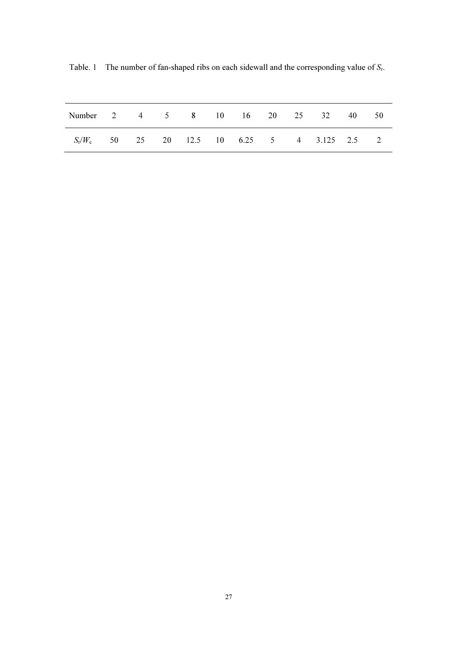| Number 2 4 5 8 10 16 20 25 32 40 50             |  |  |  |  |  |  |
|-------------------------------------------------|--|--|--|--|--|--|
| $S_r/W_c$ 50 25 20 12.5 10 6.25 5 4 3.125 2.5 2 |  |  |  |  |  |  |

Table. 1 The number of fan-shaped ribs on each sidewall and the corresponding value of  $S_r$ .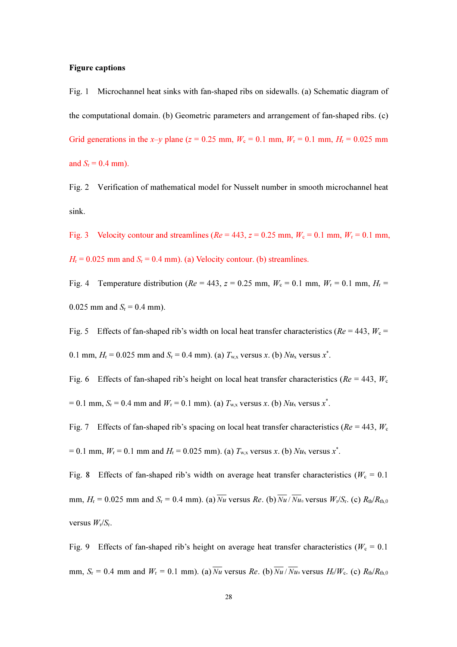#### Figure captions

Fig. 1 Microchannel heat sinks with fan-shaped ribs on sidewalls. (a) Schematic diagram of the computational domain. (b) Geometric parameters and arrangement of fan-shaped ribs. (c) Grid generations in the x–y plane ( $z = 0.25$  mm,  $W_c = 0.1$  mm,  $W_r = 0.1$  mm,  $H_r = 0.025$  mm and  $S_r = 0.4$  mm).

Fig. 2 Verification of mathematical model for Nusselt number in smooth microchannel heat sink.

Fig. 3 Velocity contour and streamlines ( $Re = 443$ ,  $z = 0.25$  mm,  $W_c = 0.1$  mm,  $W_r = 0.1$  mm,  $H_{\rm r}$  = 0.025 mm and  $S_{\rm r}$  = 0.4 mm). (a) Velocity contour. (b) streamlines.

Fig. 4 Temperature distribution ( $Re = 443$ ,  $z = 0.25$  mm,  $W_c = 0.1$  mm,  $W_r = 0.1$  mm,  $H_r =$ 0.025 mm and  $S_r = 0.4$  mm).

Fig. 5 Effects of fan-shaped rib's width on local heat transfer characteristics ( $Re = 443$ ,  $W_c =$ 

0.1 mm,  $H_r = 0.025$  mm and  $S_r = 0.4$  mm). (a)  $T_{w,x}$  versus x. (b)  $Nu_x$  versus  $x^*$ .

Fig. 6 Effects of fan-shaped rib's height on local heat transfer characteristics ( $Re = 443$ ,  $W_c$  $= 0.1$  mm,  $S_r = 0.4$  mm and  $W_r = 0.1$  mm). (a)  $T_{w,x}$  versus x. (b)  $Nu_x$  versus  $x^*$ .

Fig. 7 Effects of fan-shaped rib's spacing on local heat transfer characteristics ( $Re = 443$ ,  $W_c$  $= 0.1$  mm,  $W_r = 0.1$  mm and  $H_r = 0.025$  mm). (a)  $T_{w,x}$  versus x. (b)  $Nu_x$  versus x<sup>\*</sup>.

Fig. 8 Effects of fan-shaped rib's width on average heat transfer characteristics ( $W_c = 0.1$ ) mm,  $H_{\rm r} = 0.025$  mm and  $S_{\rm r} = 0.4$  mm). (a)  $\overline{Nu}$  versus Re. (b)  $\overline{Nu}/\overline{Nu}$  versus  $W_{\rm r}/S_{\rm r}$ . (c)  $R_{\rm th}/R_{\rm th,0}$ versus  $W_{r}/S_{r}$ .

Fig. 9 Effects of fan-shaped rib's height on average heat transfer characteristics ( $W_c = 0.1$ ) mm,  $S_r = 0.4$  mm and  $W_r = 0.1$  mm). (a)  $\overline{Nu}$  versus Re. (b)  $\overline{Nu}/\overline{Nu}$  versus  $H_r/W_c$ . (c)  $R_{th}/R_{th,0}$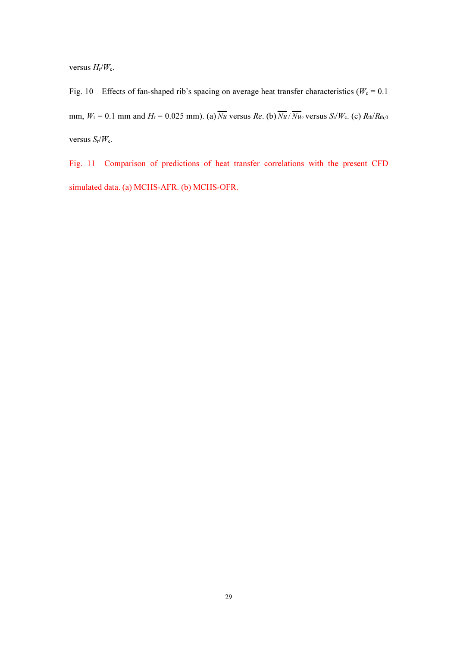versus  $H_{r}/W_{c}$ .

Fig. 10 Effects of fan-shaped rib's spacing on average heat transfer characteristics ( $W_c = 0.1$ ) mm,  $W_r = 0.1$  mm and  $H_r = 0.025$  mm). (a)  $\overline{Nu}$  versus Re. (b)  $\overline{Nu}/\overline{Nu}$  versus  $S_r/W_c$ . (c)  $R_{th}/R_{th,0}$ versus  $S_r/W_c$ .

Fig. 11 Comparison of predictions of heat transfer correlations with the present CFD simulated data. (a) MCHS-AFR. (b) MCHS-OFR.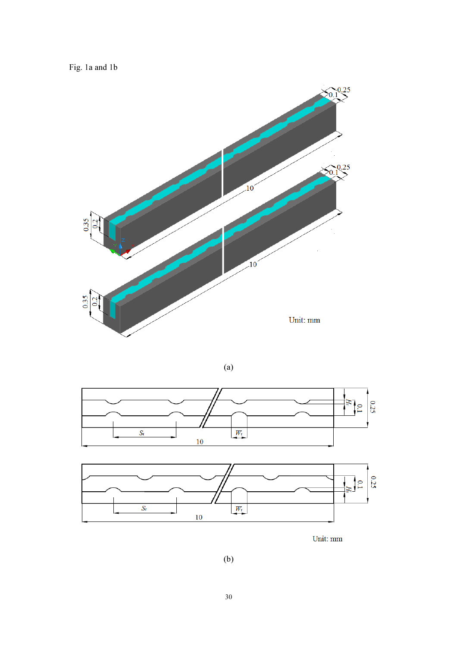Fig. 1a and 1b



 $(a)$ 







 $(b)$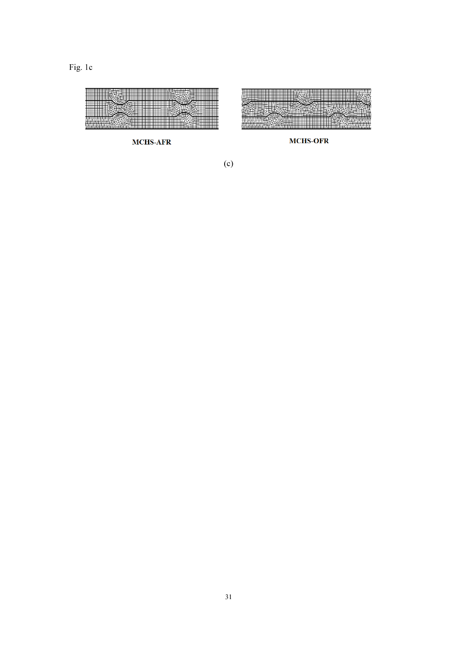

 $(c)$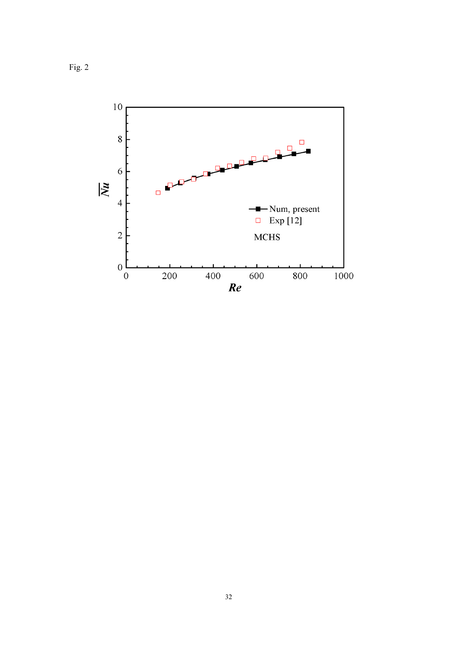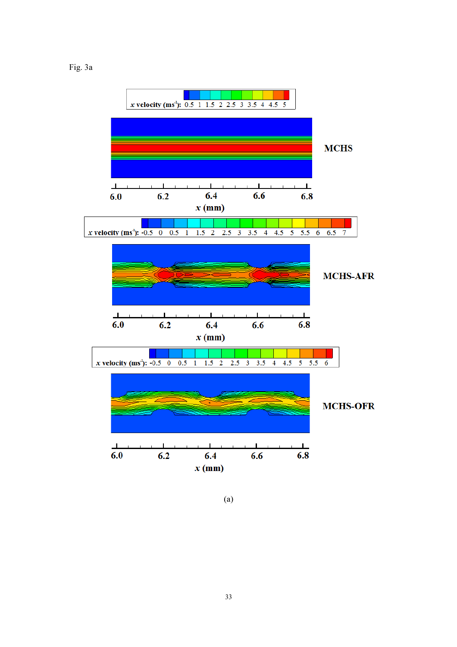



(a)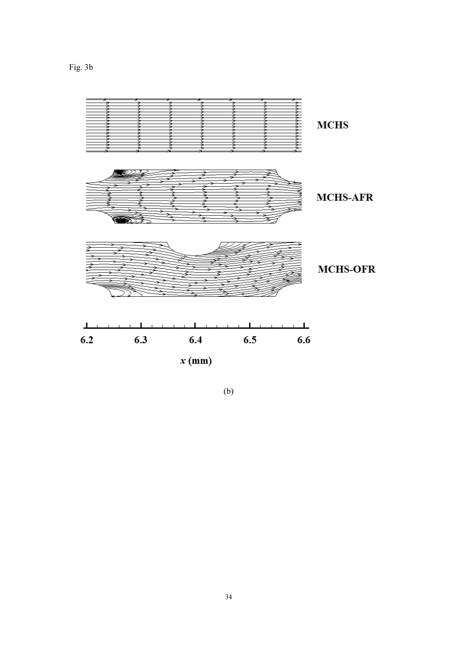Fig. 3b



(b)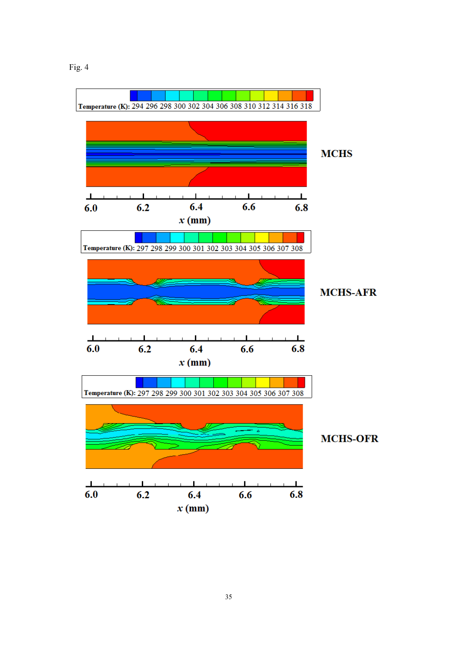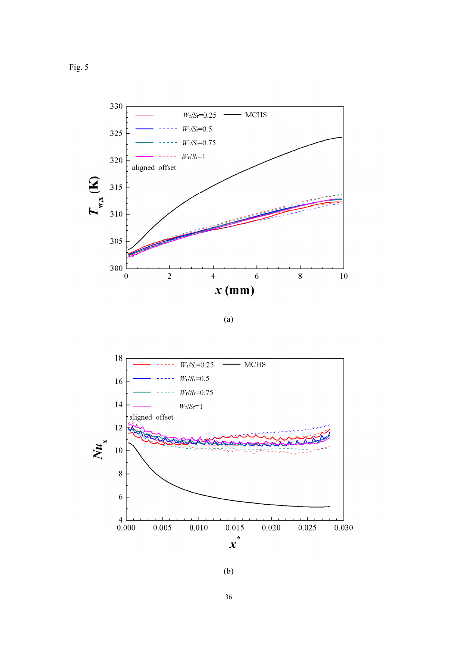

(a)



(b)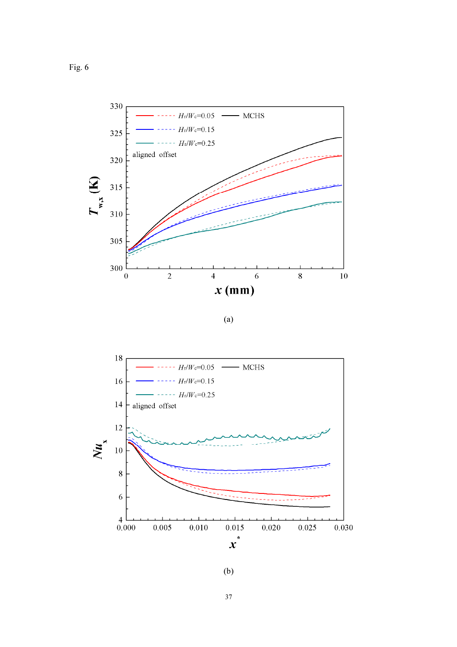

(a)



(b)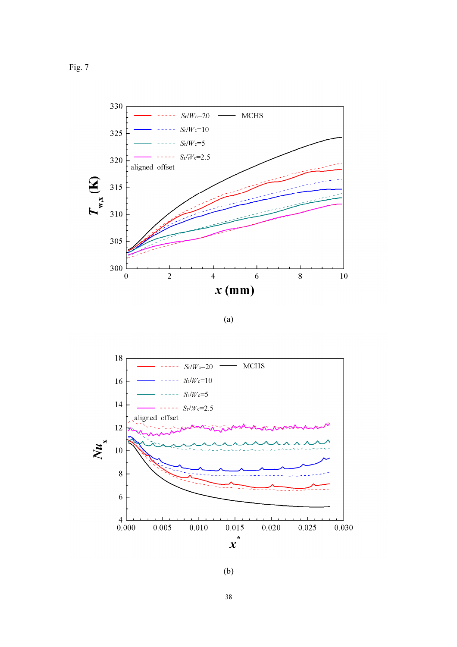

(a)



(b)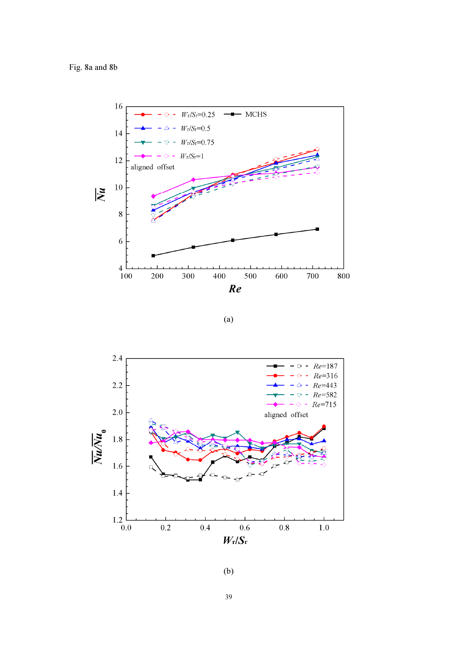Fig. 8a and 8b



 $(a)$ 



 $(b)$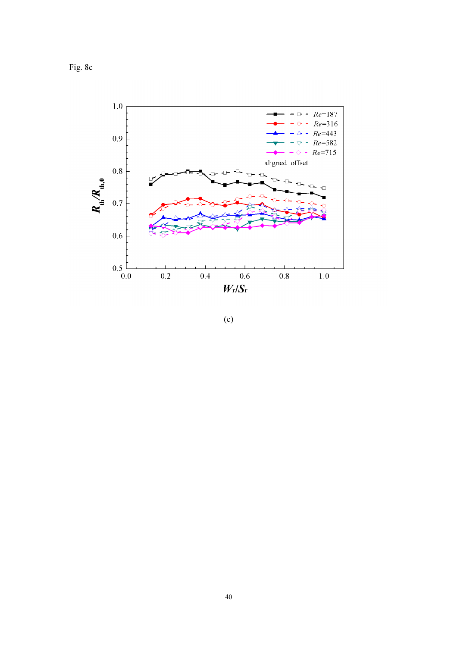Fig. 8c



 $(c)$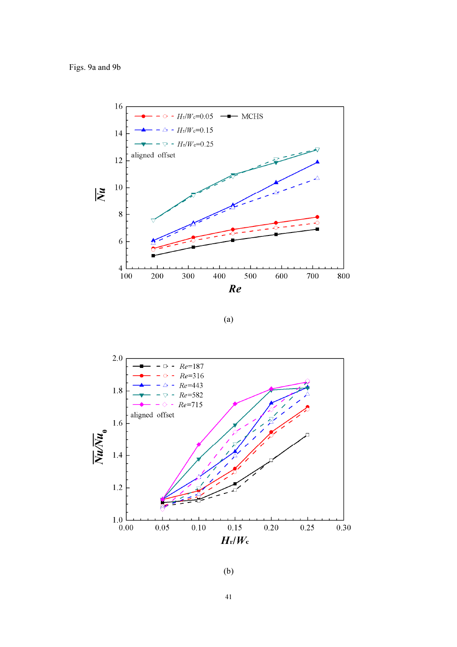Figs. 9a and 9b



 $(a)$ 



 $(b)$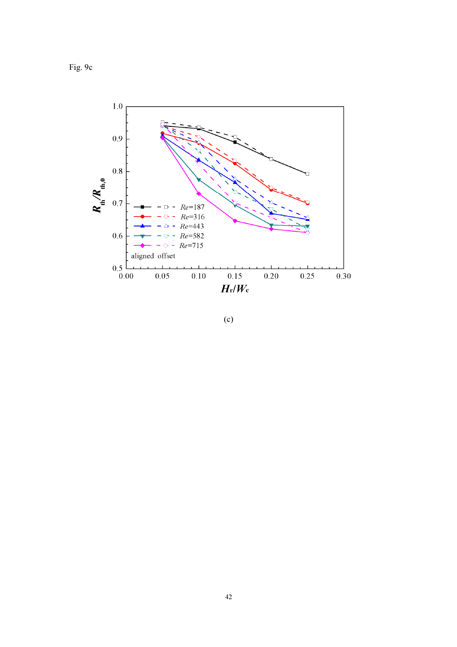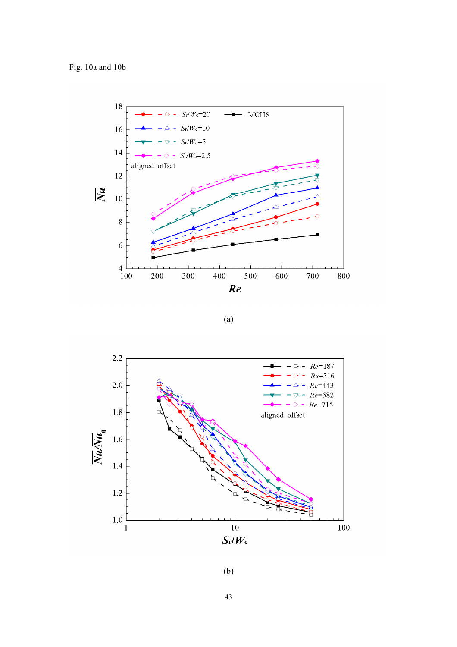

 $(a)$ 



 $(b)$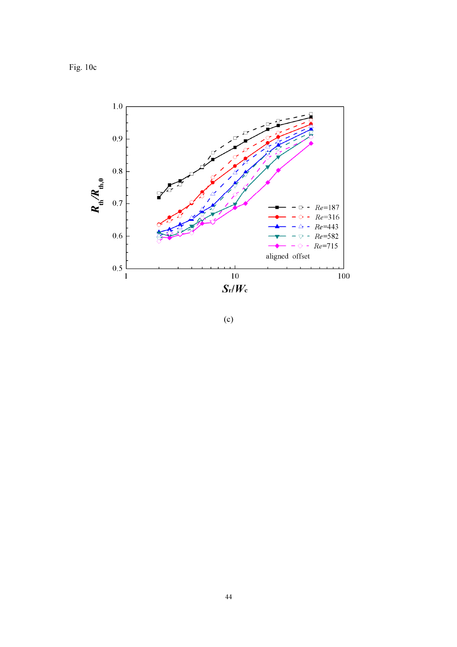Fig.  $10c$